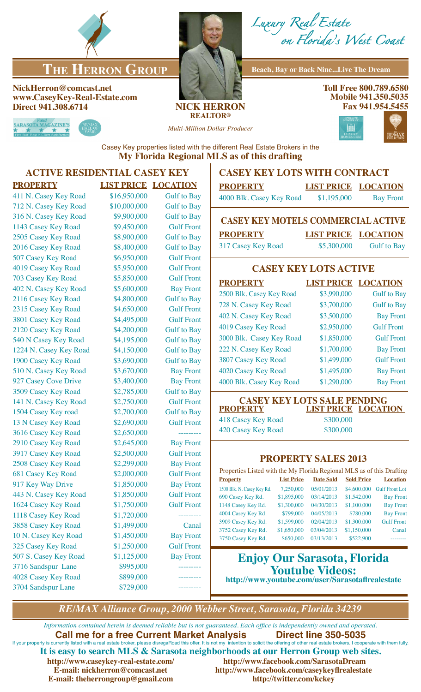

# **THE HERRON GROUP** Beach, Bay or Back Nine...Live The Dream

**NickHerron@comcast.net www.CaseyKey-Real-Estate.com Direct 941.308.6714 NICK HERRON**



*Luxury Real Estate on Florida's West Coast*

**Toll Free 800.789.6580 Mobile 941.350.5035 Fax 941.954.5455**



**REALTOR®**

*Multi-Million Dollar Producer*



Casey Key properties listed with the different Real Estate Brokers in the **My Florida Regional MLS as of this drafting**

# **ACTIVE RESIDENTIAL CASEY KEY**

| <b>PROPERTY</b>           | <b>LIST PRICE</b> | <b>LOCATION</b>    |
|---------------------------|-------------------|--------------------|
| 411 N. Casey Key Road     | \$16,950,000      | <b>Gulf</b> to Bay |
| 712 N. Casey Key Road     | \$10,000,000      | <b>Gulf to Bay</b> |
| 316 N. Casey Key Road     | \$9,900,000       | <b>Gulf to Bay</b> |
| 1143 Casey Key Road       | \$9,450,000       | <b>Gulf Front</b>  |
| 2505 Casey Key Road       | \$8,900,000       | <b>Gulf to Bay</b> |
| 2016 Casey Key Road       | \$8,400,000       | <b>Gulf to Bay</b> |
| 507 Casey Key Road        | \$6,950,000       | <b>Gulf Front</b>  |
| 4019 Casey Key Road       | \$5,950,000       | <b>Gulf Front</b>  |
| 703 Casey Key Road        | \$5,850,000       | <b>Gulf Front</b>  |
| 402 N. Casey Key Road     | \$5,600,000       | <b>Bay Front</b>   |
| 2116 Casey Key Road       | \$4,800,000       | <b>Gulf to Bay</b> |
| 2315 Casey Key Road       | \$4,650,000       | <b>Gulf Front</b>  |
| 3801 Casey Key Road       | \$4,495,000       | <b>Gulf Front</b>  |
| 2120 Casey Key Road       | \$4,200,000       | <b>Gulf to Bay</b> |
| 540 N Casey Key Road      | \$4,195,000       | <b>Gulf to Bay</b> |
| 1224 N. Casey Key Road    | \$4,150,000       | <b>Gulf to Bay</b> |
| 1900 Casey Key Road       | \$3,690,000       | <b>Gulf to Bay</b> |
| 510 N. Casey Key Road     | \$3,670,000       | <b>Bay Front</b>   |
| 927 Casey Cove Drive      | \$3,400,000       | <b>Bay Front</b>   |
| 3509 Casey Key Road       | \$2,785,000       | <b>Gulf to Bay</b> |
| 141 N. Casey Key Road     | \$2,750,000       | <b>Gulf Front</b>  |
| 1504 Casey Key road       | \$2,700,000       | <b>Gulf to Bay</b> |
| 13 N Casey Key Road       | \$2,690,000       | <b>Gulf Front</b>  |
| 3616 Casey Key Road       | \$2,650,000       | _________          |
| 2910 Casey Key Road       | \$2,645,000       | <b>Bay Front</b>   |
| 3917 Casey Key Road       | \$2,500,000       | <b>Gulf Front</b>  |
| 2508 Casey Key Road       | \$2,299,000       | <b>Bay Front</b>   |
| <b>681 Casey Key Road</b> | \$2,000,000       | <b>Gulf Front</b>  |
| 917 Key Way Drive         | \$1,850,000       | <b>Bay Front</b>   |
| 443 N. Casey Key Road     | \$1,850,000       | <b>Gulf Front</b>  |
| 1624 Casey Key Road       | \$1,750,000       | <b>Gulf Front</b>  |
| 1118 Casey Key Road       | \$1,720,000       |                    |
| 3858 Casey Key Road       | \$1,499,000       | Canal              |
| 10 N. Casey Key Road      | \$1,450,000       | <b>Bay Front</b>   |
| 325 Casey Key Road        | \$1,250,000       | <b>Gulf Front</b>  |
| 507 S. Casey Key Road     | \$1,125,000       | <b>Bay Front</b>   |
| 3716 Sandspur Lane        | \$995,000         | --------           |
| 4028 Casey Key Road       | \$899,000         | --------           |
| 3704 Sandspur Lane        | \$729,000         |                    |

## **CASEY KEY LOTS WITH CONTRACT**

| <b>PROPERTY</b>          | <b>LIST PRICE LOCATION</b> |                  |
|--------------------------|----------------------------|------------------|
| 4000 Blk. Casey Key Road | \$1,195,000                | <b>Bay Front</b> |

# **CASEY KEY MOTELS COMMERCIAL ACTIVE PROPERTY LIST PRICE LOCATION**

317 Casey Key Road \$5,300,000 Gulf to Bay

## **CASEY KEY LOTS ACTIVE**

| <b>PROPERTY</b>          | <b>LIST PRICE LOCATION</b> |                    |
|--------------------------|----------------------------|--------------------|
| 2500 Blk. Casey Key Road | \$3,990,000                | <b>Gulf</b> to Bay |
| 728 N. Casey Key Road    | \$3,700,000                | <b>Gulf</b> to Bay |
| 402 N. Casey Key Road    | \$3,500,000                | <b>Bay Front</b>   |
| 4019 Casey Key Road      | \$2,950,000                | <b>Gulf Front</b>  |
| 3000 Blk. Casey Key Road | \$1,850,000                | <b>Gulf Front</b>  |
| 222 N. Casey Key Road    | \$1,700,000                | <b>Bay Front</b>   |
| 3807 Casey Key Road      | \$1,499,000                | <b>Gulf Front</b>  |
| 4020 Casey Key Road      | \$1,495,000                | <b>Bay Front</b>   |
| 4000 Blk. Casey Key Road | \$1,290,000                | <b>Bay Front</b>   |

#### **CASEY KEY LOTS SALE PENDING<br>PROPERTY LIST PRICE LOCAT LIST PRICE LOCATION** 418 Casey Key Road \$300,000 420 Casey Key Road \$300,000

## **PROPERTY SALES 2013**

| Properties Listed with the My Florida Regional MLS as of this Drafting |                   |                  |                   |                       |
|------------------------------------------------------------------------|-------------------|------------------|-------------------|-----------------------|
| <b>Property</b>                                                        | <b>List Price</b> | <b>Date Sold</b> | <b>Sold Price</b> | <b>Location</b>       |
| 1500 Blk. N. Casey Key Rd.                                             | 7,250,000         | 05/01/2013       | \$4,600,000       | <b>Gulf Front Lot</b> |
| 690 Casey Key Rd.                                                      | \$1,895,000       | 03/14/2013       | \$1,542,000       | <b>Bay Front</b>      |
| 1148 Casey Key Rd.                                                     | \$1,300,000       | 04/30/2013       | \$1,100,000       | <b>Bay Front</b>      |
| 4004 Casey Key Rd.                                                     | \$799,000         | 04/05/2013       | \$780,000         | <b>Bay Front</b>      |
| 3909 Casey Key Rd.                                                     | \$1,599,000       | 02/04/2013       | \$1,300,000       | <b>Gulf Front</b>     |
| 3752 Casey Key Rd.                                                     | \$1,650,000       | 03/04/2013       | \$1,150,000       | Canal                 |
| 3750 Casey Key Rd.                                                     | \$650,000         | 03/13/2013       | \$522.900         |                       |

# **Enjoy Our Sarasota, Florida Youtube Videos:**

**http://www.youtube.com/user/Sarasotaflrealestate**

*RE/MAX Alliance Group, 2000 Webber Street, Sarasota, Florida 34239*

*Information contained herein is deemed reliable but is not guaranteed. Each office is independently owned and operated.* **Call me for a free Current Market Analysis Direct line 350-5035** If your property is currently listed with a real estate broker, please disregaRoad this offer. It is not my intention to solicit the offering of other real estate brokers. I cooperate with them fully. **It is easy to search MLS & Sarasota neighborhoods at our Herron Group web sites.** http://www.facebook.com/SarasotaDream **E-mail: nickherron@comcast.net http://www.facebook.com/caseykeyflrealestate E-mail: theherrongroup@gmail.com http://twitter.com/kckey**